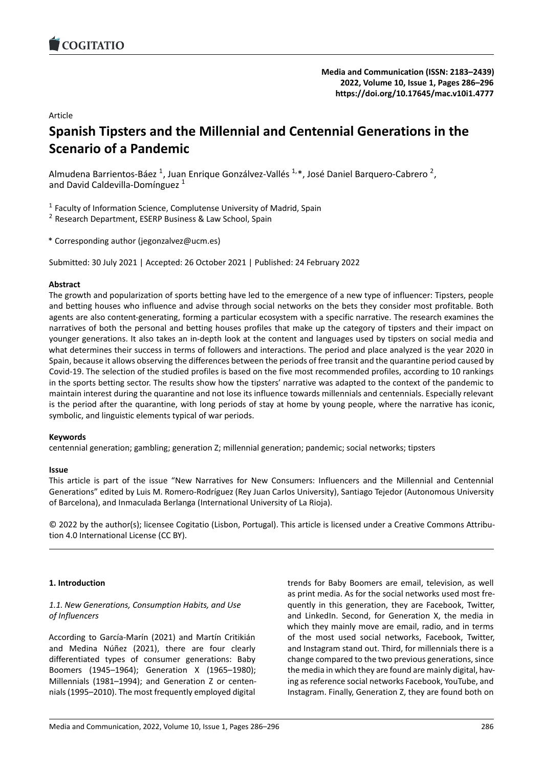<span id="page-0-0"></span>

**[Media and Communication](https://www.cogitatiopress.com/mediaandcommunication) (ISSN: 2183–2439) 2022, Volume 10, Issue 1, Pages 286–296 <https://doi.org/10.17645/mac.v10i1.4777>**

Article

# **Spanish Tipsters and the Millennial and Centennial Generations in the Scenario of a Pandemic**

Almudena Barrientos-Báez <sup>1</sup>, Juan Enrique Gonzálvez-Vallés <sup>1,\*</sup>, José Daniel Barquero-Cabrero <sup>2</sup>, and David Caldevilla-Domínguez<sup>1</sup>

<sup>1</sup> Faculty of Information Science, Complutense University of Madrid, Spain

<sup>2</sup> Research Department, ESERP Business & Law School, Spain

\* Corresponding author (jegonzalvez@ucm.es)

Submitted: 30 July 2021 | Accepted: 26 October 2021 | Published: 24 February 2022

#### **Abstract**

The growth and popularization of sports betting have led to the emergence of a new type of influencer: Tipsters, people and betting houses who influence and advise through social networks on the bets they consider most profitable. Both agents are also content‐generating, forming a particular ecosystem with a specific narrative. The research examines the narratives of both the personal and betting houses profiles that make up the category of tipsters and their impact on younger generations. It also takes an in‐depth look at the content and languages used by tipsters on social media and what determines their success in terms of followers and interactions. The period and place analyzed is the year 2020 in Spain, because it allows observing the differences between the periods of free transit and the quarantine period caused by Covid‐19. The selection of the studied profiles is based on the five most recommended profiles, according to 10 rankings in the sports betting sector. The results show how the tipsters' narrative was adapted to the context of the pandemic to maintain interest during the quarantine and not lose its influence towards millennials and centennials. Especially relevant is the period after the quarantine, with long periods of stay at home by young people, where the narrative has iconic, symbolic, and linguistic elements typical of war periods.

#### **Keywords**

centennial generation; gambling; generation Z; millennial generation; pandemic; social networks; tipsters

#### **Issue**

This article is part of the issue "New Narratives for New Consumers: Influencers and the Millennial and Centennial Generations" edited by Luis M. Romero‐Rodríguez (Rey Juan Carlos University), Santiago Tejedor (Autonomous University of Barcelona), and Inmaculada Berlanga (International University of La Rioja).

© 2022 by the author(s); licensee Cogitatio (Lisbon, Portugal). This article is licensed under a Creative Commons Attribu‐ tion 4.0 International License (CC BY).

#### **1. Introduction**

#### *1.1. New Generations, Consumption Habits, and Use of Influencers*

According to García‐Marín (2021) and Martín Critikián and Medina Núñez (2021), there are four clearly differentiated types of consumer generations: Baby Boomers (1945–1964); Generation X (1965–1980); Millennials (1981–1994); and Generation Z or centen‐ nials (1995–2010). The most frequently employed digital

trends for Baby Boomers are email, television, as well as print media. As for the social networks used most fre‐ quently in this generation, they are Facebook, Twitter, and LinkedIn. Second, for Generation X, the media in which they mainly move are email, radio, and in terms of the most used social networks, Facebook, Twitter, and Instagram stand out. Third, for millennials there is a change compared to the two previous generations, since the media in which they are found are mainly digital, hav‐ ing as reference social networks Facebook, YouTube, and Instagram. Finally, Generation Z, they are found both on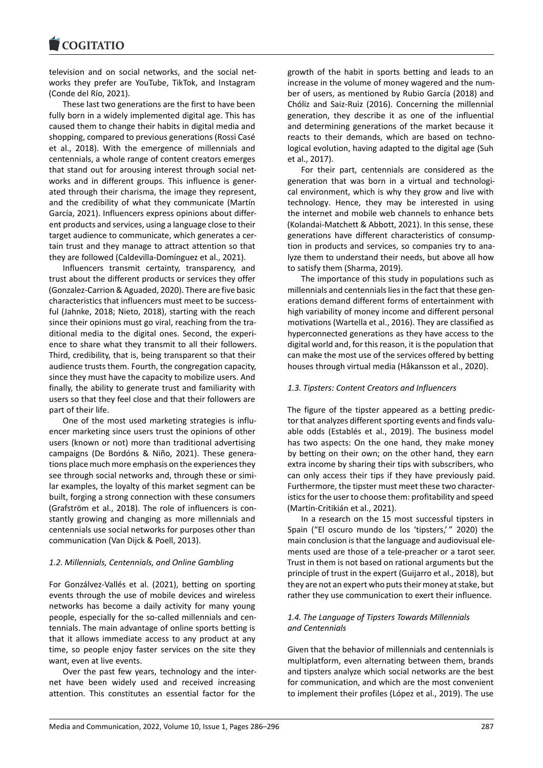television and on social networks, and the social net‐ works they prefer are YouTube, TikTok, and Instagram (Conde del Río, 2021).

These last two generations are the first to have been fully born in a widely implemented digital age. This has caused them to change their habits in digital media and shopping, compared to previous generations (Rossi Casé et al., 2018). With the emergence of millennials and centennials, a whole range of content creators emerges that stand out for arousing interest through social net‐ works and in different groups. This influence is gener‐ ated through their charisma, the image they represent, and the credibility of what they communicate (Martín García, 2021). Influencers express opinions about differ‐ ent products and services, using a language close to their target audience to communicate, which generates a cer‐ tain trust and they manage to attract attention so that they are followed (Caldevilla‐Domínguez et al., 2021).

Influencers transmit certainty, transparency, and trust about the different products or services they offer (Gonzalez‐Carrion & Aguaded, 2020). There are five basic characteristics that influencers must meet to be success‐ ful (Jahnke, 2018; Nieto, 2018), starting with the reach since their opinions must go viral, reaching from the traditional media to the digital ones. Second, the experi‐ ence to share what they transmit to all their followers. Third, credibility, that is, being transparent so that their audience trusts them. Fourth, the congregation capacity, since they must have the capacity to mobilize users. And finally, the ability to generate trust and familiarity with users so that they feel close and that their followers are part of their life.

One of the most used marketing strategies is influ‐ encer marketing since users trust the opinions of other users (known or not) more than traditional advertising campaigns (De Bordóns & Niño, 2021). These genera‐ tions place much more emphasis on the experiences they see through social networks and, through these or simi‐ lar examples, the loyalty of this market segment can be built, forging a strong connection with these consumers (Grafström et al., 2018). The role of influencers is con‐ stantly growing and changing as more millennials and centennials use social networks for purposes other than communication (Van Dijck & Poell, 2013).

#### *1.2. Millennials, Centennials, and Online Gambling*

For Gonzálvez‐Vallés et al. (2021), betting on sporting events through the use of mobile devices and wireless networks has become a daily activity for many young people, especially for the so-called millennials and centennials. The main advantage of online sports betting is that it allows immediate access to any product at any time, so people enjoy faster services on the site they want, even at live events.

Over the past few years, technology and the inter‐ net have been widely used and received increasing attention. This constitutes an essential factor for the

growth of the habit in sports betting and leads to an increase in the volume of money wagered and the num‐ ber of users, as mentioned by Rubio García (2018) and Chóliz and Saiz‐Ruiz (2016). Concerning the millennial generation, they describe it as one of the influential and determining generations of the market because it reacts to their demands, which are based on technological evolution, having adapted to the digital age (Suh et al., 2017).

For their part, centennials are considered as the generation that was born in a virtual and technologi‐ cal environment, which is why they grow and live with technology. Hence, they may be interested in using the internet and mobile web channels to enhance bets (Kolandai‐Matchett & Abbott, 2021). In this sense, these generations have different characteristics of consump‐ tion in products and services, so companies try to ana‐ lyze them to understand their needs, but above all how to satisfy them (Sharma, 2019).

The importance of this study in populations such as millennials and centennials lies in the fact that these gen‐ erations demand different forms of entertainment with high variability of money income and different personal motivations (Wartella et al., 2016). They are classified as hyperconnected generations as they have access to the digital world and, for this reason, it is the population that can make the most use of the services offered by betting houses through virtual media (Håkansson et al., 2020).

#### *1.3. Tipsters: Content Creators and Influencers*

The figure of the tipster appeared as a betting predic‐ tor that analyzes different sporting events and finds valu‐ able odds (Establés et al., 2019). The business model has two aspects: On the one hand, they make money by betting on their own; on the other hand, they earn extra income by sharing their tips with subscribers, who can only access their tips if they have previously paid. Furthermore, the tipster must meet these two character‐ istics for the user to choose them: profitability and speed (Martín‐Critikián et al., 2021).

In a research on the 15 most successful tipsters in Spain ("El oscuro mundo de los 'tipsters,'" 2020) the main conclusion is that the language and audiovisual ele‐ ments used are those of a tele‐preacher or a tarot seer. Trust in them is not based on rational arguments but the principle of trust in the expert (Guijarro et al., 2018), but they are not an expert who puts their money at stake, but rather they use communication to exert their influence.

#### *1.4. The Language of Tipsters Towards Millennials and Centennials*

Given that the behavior of millennials and centennials is multiplatform, even alternating between them, brands and tipsters analyze which social networks are the best for communication, and which are the most convenient to implement their profiles (López et al., 2019). The use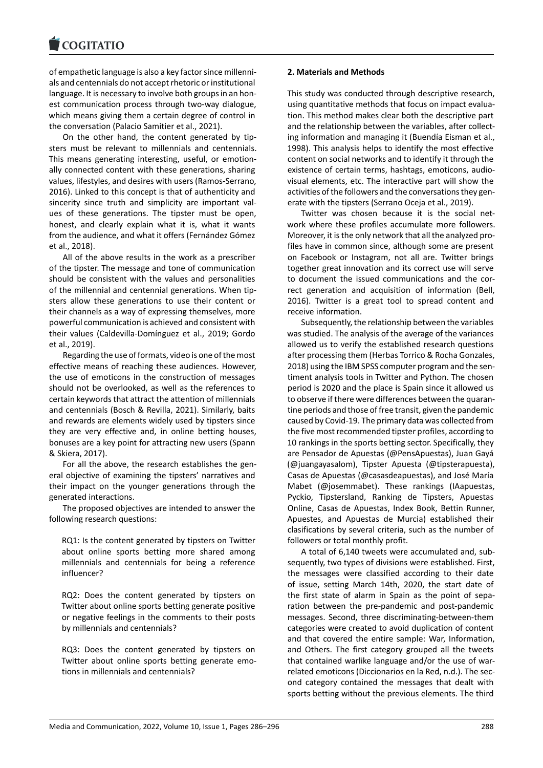of empathetic language is also a key factor since millenni‐ als and centennials do not accept rhetoric or institutional language. It is necessary to involve both groups in an hon‐ est communication process through two-way dialogue, which means giving them a certain degree of control in the conversation (Palacio Samitier et al., 2021).

On the other hand, the content generated by tip‐ sters must be relevant to millennials and centennials. This means generating interesting, useful, or emotion‐ ally connected content with these generations, sharing values, lifestyles, and desires with users (Ramos‐Serrano, 2016). Linked to this concept is that of authenticity and sincerity since truth and simplicity are important values of these generations. The tipster must be open, honest, and clearly explain what it is, what it wants from the audience, and what it offers (Fernández Gómez et al., 2018).

All of the above results in the work as a prescriber of the tipster. The message and tone of communication should be consistent with the values and personalities of the millennial and centennial generations. When tip‐ sters allow these generations to use their content or their channels as a way of expressing themselves, more powerful communication is achieved and consistent with their values (Caldevilla‐Domínguez et al., 2019; Gordo et al., 2019).

Regarding the use of formats, video is one of the most effective means of reaching these audiences. However, the use of emoticons in the construction of messages should not be overlooked, as well as the references to certain keywords that attract the attention of millennials and centennials (Bosch & Revilla, 2021). Similarly, baits and rewards are elements widely used by tipsters since they are very effective and, in online betting houses, bonuses are a key point for attracting new users (Spann & Skiera, 2017).

For all the above, the research establishes the general objective of examining the tipsters' narratives and their impact on the younger generations through the generated interactions.

The proposed objectives are intended to answer the following research questions:

RQ1: Is the content generated by tipsters on Twitter about online sports betting more shared among millennials and centennials for being a reference influencer?

RQ2: Does the content generated by tipsters on Twitter about online sports betting generate positive or negative feelings in the comments to their posts by millennials and centennials?

RQ3: Does the content generated by tipsters on Twitter about online sports betting generate emotions in millennials and centennials?

#### **2. Materials and Methods**

This study was conducted through descriptive research, using quantitative methods that focus on impact evalua‐ tion. This method makes clear both the descriptive part and the relationship between the variables, after collecting information and managing it (Buendía Eisman et al., 1998). This analysis helps to identify the most effective content on social networks and to identify it through the existence of certain terms, hashtags, emoticons, audio‐ visual elements, etc. The interactive part will show the activities of the followers and the conversations they generate with the tipsters (Serrano Oceja et al., 2019).

Twitter was chosen because it is the social network where these profiles accumulate more followers. Moreover, it is the only network that all the analyzed pro‐ files have in common since, although some are present on Facebook or Instagram, not all are. Twitter brings together great innovation and its correct use will serve to document the issued communications and the cor‐ rect generation and acquisition of information (Bell, 2016). Twitter is a great tool to spread content and receive information.

Subsequently, the relationship between the variables was studied. The analysis of the average of the variances allowed us to verify the established research questions after processing them (Herbas Torrico & Rocha Gonzales, 2018) using the IBM SPSS computer program and the sen‐ timent analysis tools in Twitter and Python. The chosen period is 2020 and the place is Spain since it allowed us to observe if there were differences between the quaran‐ tine periods and those of free transit, given the pandemic caused by Covid‐19. The primary data was collected from the five most recommended tipster profiles, according to 10 rankings in the sports betting sector. Specifically, they are Pensador de Apuestas (@PensApuestas), Juan Gayá (@juangayasalom), Tipster Apuesta (@tipsterapuesta), Casas de Apuestas (@casasdeapuestas), and José María Mabet (@josemmabet). These rankings (IAapuestas, Pyckio, Tipstersland, Ranking de Tipsters, Apuestas Online, Casas de Apuestas, Index Book, Bettin Runner, Apuestes, and Apuestas de Murcia) established their clasifications by several criteria, such as the number of followers or total monthly profit.

A total of 6,140 tweets were accumulated and, sub‐ sequently, two types of divisions were established. First, the messages were classified according to their date of issue, setting March 14th, 2020, the start date of the first state of alarm in Spain as the point of sepa‐ ration between the pre‐pandemic and post‐pandemic messages. Second, three discriminating‐between‐them categories were created to avoid duplication of content and that covered the entire sample: War, Information, and Others. The first category grouped all the tweets that contained warlike language and/or the use of war‐ related emoticons (Diccionarios en la Red, n.d.). The sec‐ ond category contained the messages that dealt with sports betting without the previous elements. The third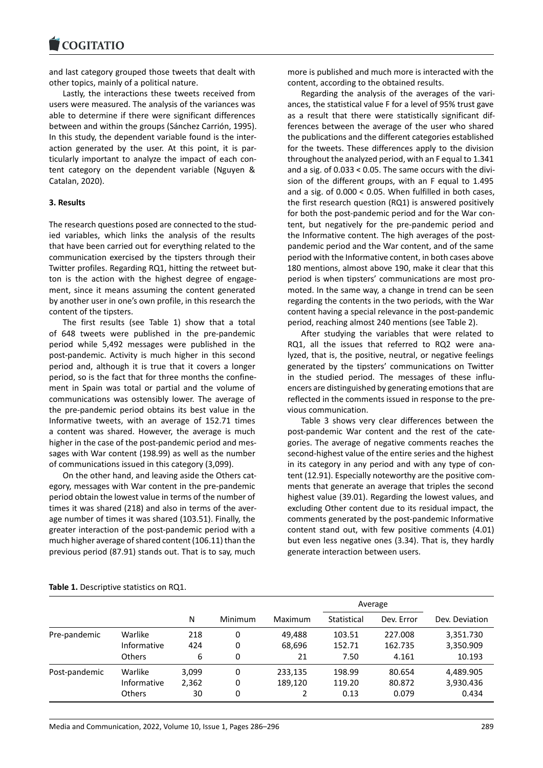and last category grouped those tweets that dealt with other topics, mainly of a political nature.

Lastly, the interactions these tweets received from users were measured. The analysis of the variances was able to determine if there were significant differences between and within the groups (Sánchez Carrión, 1995). In this study, the dependent variable found is the inter‐ action generated by the user. At this point, it is par‐ ticularly important to analyze the impact of each con‐ tent category on the dependent variable (Nguyen & Catalan, 2020).

#### **3. Results**

The research questions posed are connected to the stud‐ ied variables, which links the analysis of the results that have been carried out for everything related to the communication exercised by the tipsters through their Twitter profiles. Regarding RQ1, hitting the retweet but‐ ton is the action with the highest degree of engage‐ ment, since it means assuming the content generated by another user in one's own profile, in this research the content of the tipsters.

The first results (see Table 1) show that a total of 648 tweets were published in the pre‐pandemic period while 5,492 messages were published in the post-pandemic. Activity is much higher in this second period and, although it is true that it covers a longer period, so is the fact that for three months the confine‐ ment in Spain was total or partial and the volume of communications was ostensibly lower. The average of the pre‐pandemic period obtains its best value in the Informative tweets, with an average of 152.71 times a content was shared. However, the average is much higher in the case of the post-pandemic period and messages with War content (198.99) as well as the number of communications issued in this category (3,099).

On the other hand, and leaving aside the Others cat‐ egory, messages with War content in the pre‐pandemic period obtain the lowest value in terms of the number of times it was shared (218) and also in terms of the aver‐ age number of times it was shared (103.51). Finally, the greater interaction of the post‐pandemic period with a much higher average of shared content (106.11) than the previous period (87.91) stands out. That is to say, much

more is published and much more is interacted with the content, according to the obtained results.

Regarding the analysis of the averages of the vari‐ ances, the statistical value F for a level of 95% trust gave as a result that there were statistically significant dif‐ ferences between the average of the user who shared the publications and the different categories established for the tweets. These differences apply to the division throughout the analyzed period, with an F equal to 1.341 and a sig. of 0.033 < 0.05. The same occurs with the divi‐ sion of the different groups, with an F equal to 1.495 and a sig. of 0.000 < 0.05. When fulfilled in both cases, the first research question (RQ1) is answered positively for both the post-pandemic period and for the War content, but negatively for the pre‐pandemic period and the Informative content. The high averages of the postpandemic period and the War content, and of the same period with the Informative content, in both cases above 180 mentions, almost above 190, make it clear that this period is when tipsters' communications are most pro‐ moted. In the same way, a change in trend can be seen regarding the contents in the two periods, with the War content having a special relevance in the post‐pandemic period, reaching almost 240 mentions (see Table 2).

After studying the variables that were related to RQ1, all the issues that referred to RQ2 were analyzed, that is, the positive, neutral, or negative feelings generated by the tipsters' communications on Twitter in the studied period. The messages of these influencers are distinguished by generating emotions that are reflected in the comments issued in response to the pre‐ vious communication.

Table 3 shows very clear differences between the post‐pandemic War content and the rest of the cate‐ gories. The average of negative comments reaches the second‐highest value of the entire series and the highest in its category in any period and with any type of con‐ tent (12.91). Especially noteworthy are the positive com‐ ments that generate an average that triples the second highest value (39.01). Regarding the lowest values, and excluding Other content due to its residual impact, the comments generated by the post‐pandemic Informative content stand out, with few positive comments (4.01) but even less negative ones (3.34). That is, they hardly generate interaction between users.

|               |                    |       |         |         | Average     |            |                |  |
|---------------|--------------------|-------|---------|---------|-------------|------------|----------------|--|
|               |                    | N     | Minimum | Maximum | Statistical | Dev. Error | Dev. Deviation |  |
| Pre-pandemic  | Warlike            | 218   | 0       | 49.488  | 103.51      | 227.008    | 3,351.730      |  |
|               | Informative        | 424   | 0       | 68,696  | 152.71      | 162.735    | 3,350.909      |  |
|               | <b>Others</b>      | 6     | 0       | 21      | 7.50        | 4.161      | 10.193         |  |
| Post-pandemic | Warlike            | 3,099 | 0       | 233,135 | 198.99      | 80.654     | 4,489.905      |  |
|               | <b>Informative</b> | 2,362 | 0       | 189,120 | 119.20      | 80.872     | 3,930.436      |  |
|               | <b>Others</b>      | 30    | 0       | 2       | 0.13        | 0.079      | 0.434          |  |

**Table 1.** Descriptive statistics on RQ1.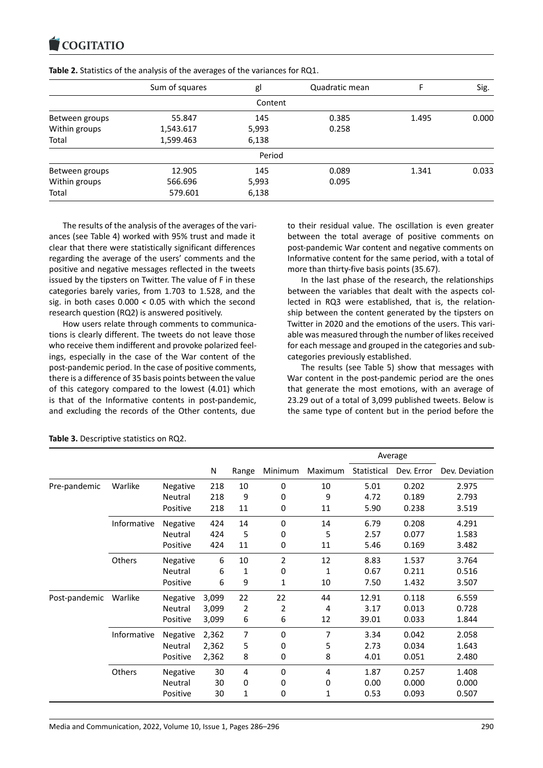|                | Sum of squares | gl      | Quadratic mean |       | Sig.  |
|----------------|----------------|---------|----------------|-------|-------|
|                |                | Content |                |       |       |
| Between groups | 55.847         | 145     | 0.385          | 1.495 | 0.000 |
| Within groups  | 1,543.617      | 5,993   | 0.258          |       |       |
| Total          | 1,599.463      | 6,138   |                |       |       |
|                |                | Period  |                |       |       |
| Between groups | 12.905         | 145     | 0.089          | 1.341 | 0.033 |
| Within groups  | 566.696        | 5,993   | 0.095          |       |       |
| Total          | 579.601        | 6,138   |                |       |       |

**Table 2.** Statistics of the analysis of the averages of the variances for RQ1.

The results of the analysis of the averages of the vari‐ ances (see Table 4) worked with 95% trust and made it clear that there were statistically significant differences regarding the average of the users' comments and the positive and negative messages reflected in the tweets issued by the tipsters on Twitter. The value of F in these categories barely varies, from 1.703 to 1.528, and the sig. in both cases 0.000 < 0.05 with which the second research question (RQ2) is answered positively.

How users relate through comments to communications is clearly different. The tweets do not leave those who receive them indifferent and provoke polarized feel‐ ings, especially in the case of the War content of the post-pandemic period. In the case of positive comments, there is a difference of 35 basis points between the value of this category compared to the lowest (4.01) which is that of the Informative contents in post-pandemic, and excluding the records of the Other contents, due

to their residual value. The oscillation is even greater between the total average of positive comments on post‐pandemic War content and negative comments on Informative content for the same period, with a total of more than thirty-five basis points (35.67).

In the last phase of the research, the relationships between the variables that dealt with the aspects col‐ lected in RQ3 were established, that is, the relation‐ ship between the content generated by the tipsters on Twitter in 2020 and the emotions of the users. This vari‐ able was measured through the number of likes received for each message and grouped in the categories and sub‐ categories previously established.

The results (see Table 5) show that messages with War content in the post-pandemic period are the ones that generate the most emotions, with an average of 23.29 out of a total of 3,099 published tweets. Below is the same type of content but in the period before the

|               |               |                 |       |       |             |         | Average     |            |                |  |
|---------------|---------------|-----------------|-------|-------|-------------|---------|-------------|------------|----------------|--|
|               |               |                 | N     | Range | Minimum     | Maximum | Statistical | Dev. Error | Dev. Deviation |  |
| Pre-pandemic  | Warlike       | <b>Negative</b> | 218   | 10    | 0           | 10      | 5.01        | 0.202      | 2.975          |  |
|               |               | Neutral         | 218   | 9     | 0           | 9       | 4.72        | 0.189      | 2.793          |  |
|               |               | Positive        | 218   | 11    | 0           | 11      | 5.90        | 0.238      | 3.519          |  |
|               | Informative   | Negative        | 424   | 14    | 0           | 14      | 6.79        | 0.208      | 4.291          |  |
|               |               | Neutral         | 424   | 5     | 0           | 5       | 2.57        | 0.077      | 1.583          |  |
|               |               | Positive        | 424   | 11    | 0           | 11      | 5.46        | 0.169      | 3.482          |  |
|               | Others        | Negative        | 6     | 10    | 2           | 12      | 8.83        | 1.537      | 3.764          |  |
|               |               | Neutral         | 6     | 1     | 0           | 1       | 0.67        | 0.211      | 0.516          |  |
|               |               | Positive        | 6     | 9     | 1           | 10      | 7.50        | 1.432      | 3.507          |  |
| Post-pandemic | Warlike       | Negative        | 3,099 | 22    | 22          | 44      | 12.91       | 0.118      | 6.559          |  |
|               |               | Neutral         | 3,099 | 2     | 2           | 4       | 3.17        | 0.013      | 0.728          |  |
|               |               | Positive        | 3,099 | 6     | 6           | 12      | 39.01       | 0.033      | 1.844          |  |
|               | Informative   | Negative        | 2,362 | 7     | $\mathbf 0$ | 7       | 3.34        | 0.042      | 2.058          |  |
|               |               | Neutral         | 2,362 | 5     | 0           | 5       | 2.73        | 0.034      | 1.643          |  |
|               |               | Positive        | 2,362 | 8     | 0           | 8       | 4.01        | 0.051      | 2.480          |  |
|               | <b>Others</b> | Negative        | 30    | 4     | 0           | 4       | 1.87        | 0.257      | 1.408          |  |
|               |               | Neutral         | 30    | 0     | 0           | 0       | 0.00        | 0.000      | 0.000          |  |
|               |               | Positive        | 30    | 1     | 0           | 1       | 0.53        | 0.093      | 0.507          |  |

**Table 3.** Descriptive statistics on RQ2.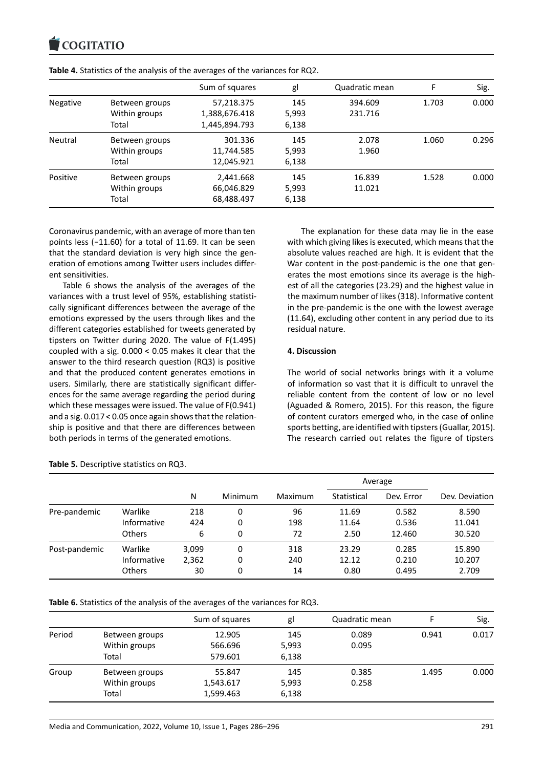|                 |                | Sum of squares | gl    | Quadratic mean | F     | Sig.  |
|-----------------|----------------|----------------|-------|----------------|-------|-------|
| <b>Negative</b> | Between groups | 57,218.375     | 145   | 394.609        | 1.703 | 0.000 |
|                 | Within groups  | 1,388,676.418  | 5,993 | 231.716        |       |       |
|                 | Total          | 1,445,894.793  | 6,138 |                |       |       |
| Neutral         | Between groups | 301.336        | 145   | 2.078          | 1.060 | 0.296 |
|                 | Within groups  | 11,744.585     | 5,993 | 1.960          |       |       |
|                 | Total          | 12,045.921     | 6,138 |                |       |       |
| Positive        | Between groups | 2,441.668      | 145   | 16.839         | 1.528 | 0.000 |
|                 | Within groups  | 66,046.829     | 5,993 | 11.021         |       |       |
|                 | Total          | 68,488.497     | 6,138 |                |       |       |

**Table 4.** Statistics of the analysis of the averages of the variances for RQ2.

Coronavirus pandemic, with an average of more than ten points less (−11.60) for a total of 11.69. It can be seen that the standard deviation is very high since the gen‐ eration of emotions among Twitter users includes differ‐ ent sensitivities.

Table 6 shows the analysis of the averages of the variances with a trust level of 95%, establishing statisti‐ cally significant differences between the average of the emotions expressed by the users through likes and the different categories established for tweets generated by tipsters on Twitter during 2020. The value of F(1.495) coupled with a sig. 0.000 < 0.05 makes it clear that the answer to the third research question (RQ3) is positive and that the produced content generates emotions in users. Similarly, there are statistically significant differ‐ ences for the same average regarding the period during which these messages were issued. The value of F(0.941) and a sig. 0.017 < 0.05 once again shows that the relation‐ ship is positive and that there are differences between both periods in terms of the generated emotions.

The explanation for these data may lie in the ease with which giving likes is executed, which means that the absolute values reached are high. It is evident that the War content in the post-pandemic is the one that generates the most emotions since its average is the high‐ est of all the categories (23.29) and the highest value in the maximum number of likes (318). Informative content in the pre‐pandemic is the one with the lowest average (11.64), excluding other content in any period due to its residual nature.

#### **4. Discussion**

The world of social networks brings with it a volume of information so vast that it is difficult to unravel the reliable content from the content of low or no level (Aguaded & Romero, 2015). For this reason, the figure of content curators emerged who, in the case of online sports betting, are identified with tipsters (Guallar, 2015). The research carried out relates the figure of tipsters

|               |               |       |         |         | Average     |            |                |  |
|---------------|---------------|-------|---------|---------|-------------|------------|----------------|--|
|               |               | N     | Minimum | Maximum | Statistical | Dev. Error | Dev. Deviation |  |
| Pre-pandemic  | Warlike       | 218   | 0       | 96      | 11.69       | 0.582      | 8.590          |  |
|               | Informative   | 424   | 0       | 198     | 11.64       | 0.536      | 11.041         |  |
|               | <b>Others</b> | 6     | 0       | 72      | 2.50        | 12.460     | 30.520         |  |
| Post-pandemic | Warlike       | 3,099 | 0       | 318     | 23.29       | 0.285      | 15.890         |  |
|               | Informative   | 2,362 | 0       | 240     | 12.12       | 0.210      | 10.207         |  |
|               | <b>Others</b> | 30    | 0       | 14      | 0.80        | 0.495      | 2.709          |  |

**Table 5.** Descriptive statistics on RQ3.

**Table 6.** Statistics of the analysis of the averages of the variances for RQ3.

|        |                | Sum of squares | gl    | Quadratic mean |       | Sig.  |
|--------|----------------|----------------|-------|----------------|-------|-------|
| Period | Between groups | 12.905         | 145   | 0.089          | 0.941 | 0.017 |
|        | Within groups  | 566.696        | 5,993 | 0.095          |       |       |
|        | Total          | 579.601        | 6,138 |                |       |       |
| Group  | Between groups | 55.847         | 145   | 0.385          | 1.495 | 0.000 |
|        | Within groups  | 1,543.617      | 5,993 | 0.258          |       |       |
|        | Total          | 1,599.463      | 6,138 |                |       |       |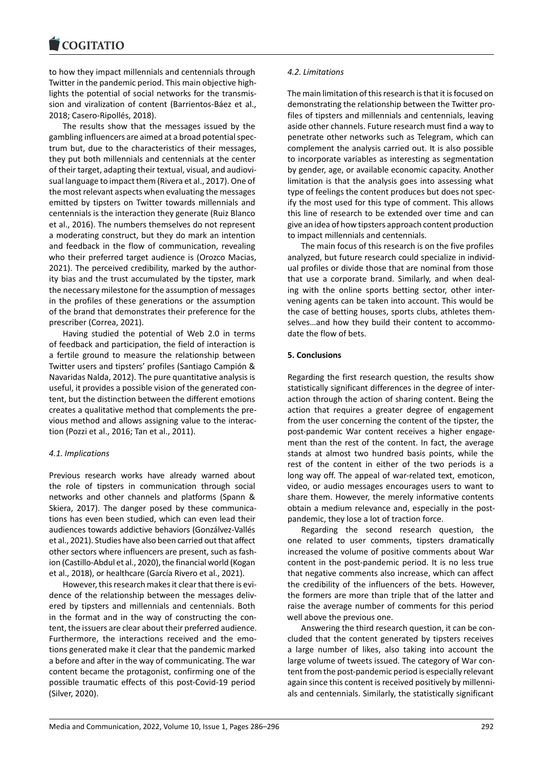to how they impact millennials and centennials through Twitter in the pandemic period. This main objective high‐ lights the potential of social networks for the transmis‐ sion and viralization of content (Barrientos‐Báez et al., 2018; Casero‐Ripollés, 2018).

The results show that the messages issued by the gambling influencers are aimed at a broad potential spec‐ trum but, due to the characteristics of their messages, they put both millennials and centennials at the center of their target, adapting their textual, visual, and audiovi‐ sual language to impact them (Rivera et al., 2017). One of the most relevant aspects when evaluating the messages emitted by tipsters on Twitter towards millennials and centennials is the interaction they generate (Ruiz Blanco et al., 2016). The numbers themselves do not represent a moderating construct, but they do mark an intention and feedback in the flow of communication, revealing who their preferred target audience is (Orozco Macias, 2021). The perceived credibility, marked by the author‐ ity bias and the trust accumulated by the tipster, mark the necessary milestone for the assumption of messages in the profiles of these generations or the assumption of the brand that demonstrates their preference for the prescriber (Correa, 2021).

Having studied the potential of Web 2.0 in terms of feedback and participation, the field of interaction is a fertile ground to measure the relationship between Twitter users and tipsters' profiles (Santiago Campión & Navaridas Nalda, 2012). The pure quantitative analysis is useful, it provides a possible vision of the generated con‐ tent, but the distinction between the different emotions creates a qualitative method that complements the pre‐ vious method and allows assigning value to the interac‐ tion (Pozzi et al., 2016; Tan et al., 2011).

#### *4.1. Implications*

Previous research works have already warned about the role of tipsters in communication through social networks and other channels and platforms (Spann & Skiera, 2017). The danger posed by these communications has even been studied, which can even lead their audiences towards addictive behaviors (Gonzálvez‐Vallés et al., 2021). Studies have also been carried out that affect other sectors where influencers are present, such as fash‐ ion (Castillo‐Abdul et al., 2020), the financial world (Kogan et al., 2018), or healthcare (García Rivero et al., 2021).

However, this research makes it clear that there is evi‐ dence of the relationship between the messages delivered by tipsters and millennials and centennials. Both in the format and in the way of constructing the content, the issuers are clear about their preferred audience. Furthermore, the interactions received and the emotions generated make it clear that the pandemic marked a before and after in the way of communicating. The war content became the protagonist, confirming one of the possible traumatic effects of this post‐Covid‐19 period (Silver, 2020).

#### *4.2. Limitations*

The main limitation of this research is that it is focused on demonstrating the relationship between the Twitter pro‐ files of tipsters and millennials and centennials, leaving aside other channels. Future research must find a way to penetrate other networks such as Telegram, which can complement the analysis carried out. It is also possible to incorporate variables as interesting as segmentation by gender, age, or available economic capacity. Another limitation is that the analysis goes into assessing what type of feelings the content produces but does not spec‐ ify the most used for this type of comment. This allows this line of research to be extended over time and can give an idea of how tipsters approach content production to impact millennials and centennials.

The main focus of this research is on the five profiles analyzed, but future research could specialize in individ‐ ual profiles or divide those that are nominal from those that use a corporate brand. Similarly, and when deal‐ ing with the online sports betting sector, other inter‐ vening agents can be taken into account. This would be the case of betting houses, sports clubs, athletes them‐ selves...and how they build their content to accommodate the flow of bets.

#### **5. Conclusions**

Regarding the first research question, the results show statistically significant differences in the degree of inter‐ action through the action of sharing content. Being the action that requires a greater degree of engagement from the user concerning the content of the tipster, the post‐pandemic War content receives a higher engage‐ ment than the rest of the content. In fact, the average stands at almost two hundred basis points, while the rest of the content in either of the two periods is a long way off. The appeal of war‐related text, emoticon, video, or audio messages encourages users to want to share them. However, the merely informative contents obtain a medium relevance and, especially in the postpandemic, they lose a lot of traction force.

Regarding the second research question, the one related to user comments, tipsters dramatically increased the volume of positive comments about War content in the post‐pandemic period. It is no less true that negative comments also increase, which can affect the credibility of the influencers of the bets. However, the formers are more than triple that of the latter and raise the average number of comments for this period well above the previous one.

Answering the third research question, it can be con‐ cluded that the content generated by tipsters receives a large number of likes, also taking into account the large volume of tweets issued. The category of War con‐ tent from the post‐pandemic period is especially relevant again since this content is received positively by millenni‐ als and centennials. Similarly, the statistically significant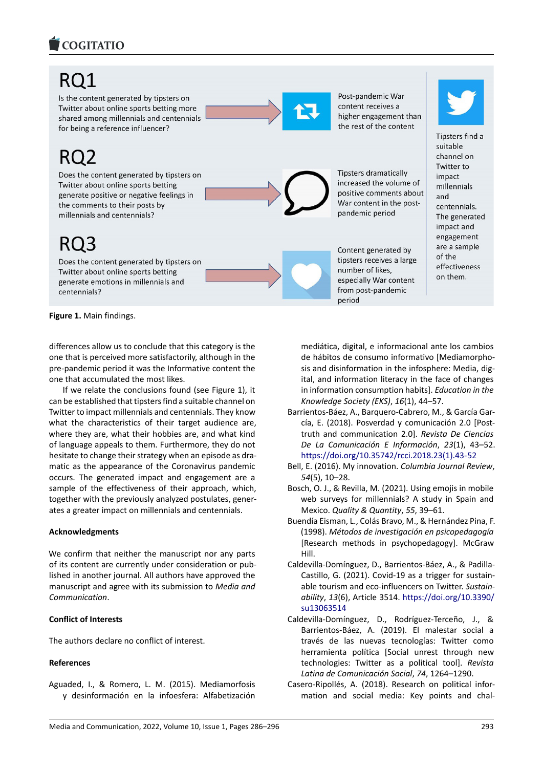

# RO1

Is the content generated by tipsters on Twitter about online sports betting more shared among millennials and centennials for being a reference influencer?

Does the content generated by tipsters on Twitter about online sports betting generate positive or negative feelings in the comments to their posts by millennials and centennials?

Does the content generated by tipsters on Twitter about online sports betting generate emotions in millennials and centennials?

**Figure 1.** Main findings.

differences allow us to conclude that this category is the one that is perceived more satisfactorily, although in the pre‐pandemic period it was the Informative content the one that accumulated the most likes.

If we relate the conclusions found (see Figure 1), it can be established that tipsters find a suitable channel on Twitter to impact millennials and centennials. They know what the characteristics of their target audience are, where they are, what their hobbies are, and what kind of language appeals to them. Furthermore, they do not hesitate to change their strategy when an episode as dra‐ matic as the appearance of the Coronavirus pandemic occurs. The generated impact and engagement are a sample of the effectiveness of their approach, which, together with the previously analyzed postulates, gener‐ ates a greater impact on millennials and centennials.

### **Acknowledgments**

We confirm that neither the manuscript nor any parts of its content are currently under consideration or pub‐ lished in another journal. All authors have approved the manuscript and agree with its submission to *Media and Communication*.

### **Conflict of Interests**

The authors declare no conflict of interest.

## **References**

Aguaded, I., & Romero, L. M. (2015). Mediamorfosis y desinformación en la infoesfera: Alfabetización



Post-pandemic War content receives a higher engagement than the rest of the content



Content generated by tipsters receives a large number of likes, especially War content from post-pandemic period

Tipsters find a suitable channel on Twitter to impact millennials and centennials. The generated impact and engagement are a sample of the effectiveness on them.

mediática, digital, e informacional ante los cambios de hábitos de consumo informativo [Mediamorpho‐ sis and disinformation in the infosphere: Media, dig‐ ital, and information literacy in the face of changes in information consumption habits]. *Education in the Knowledge Society (EKS)*, *16*(1), 44–57.

- Barrientos‐Báez, A., Barquero‐Cabrero, M., & García Gar‐ cía, E. (2018). Posverdad y comunicación 2.0 [Post‐ truth and communication 2.0]. *Revista De Ciencias De La Comunicación E Información*, *23*(1), 43–52. [https://doi.org/10.35742/rcci.2018.23\(1\).43‐52](https://doi.org/10.35742/rcci.2018.23(1).43-52)
- Bell, E. (2016). My innovation. *Columbia Journal Review*, *54*(5), 10–28.
- Bosch, O. J., & Revilla, M. (2021). Using emojis in mobile web surveys for millennials? A study in Spain and Mexico. *Quality & Quantity*, *55*, 39–61.
- Buendía Eisman, L., Colás Bravo, M., & Hernández Pina, F. (1998). *Métodos de investigación en psicopedagogía* [Research methods in psychopedagogy]. McGraw Hill.
- Caldevilla‐Domínguez, D., Barrientos‐Báez, A., & Padilla‐ Castillo, G. (2021). Covid‐19 as a trigger for sustain‐ able tourism and eco‐influencers on Twitter. *Sustain‐ ability*, *13*(6), Article 3514. [https://doi.org/10.3390/](https://doi.org/10.3390/su13063514) [su13063514](https://doi.org/10.3390/su13063514)
- Caldevilla‐Domínguez, D., Rodríguez‐Terceño, J., & Barrientos‐Báez, A. (2019). El malestar social a través de las nuevas tecnologías: Twitter como herramienta política [Social unrest through new technologies: Twitter as a political tool]. *Revista Latina de Comunicación Social*, *74*, 1264–1290.
- Casero‐Ripollés, A. (2018). Research on political infor‐ mation and social media: Key points and chal‐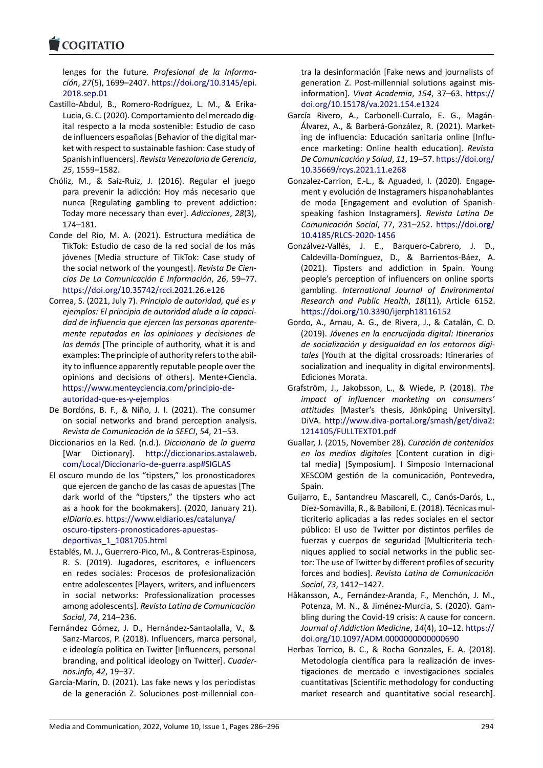lenges for the future. *Profesional de la Informa‐ ción*, *27*(5), 1699–2407. [https://doi.org/10.3145/epi.](https://doi.org/10.3145/epi.2018.sep.01) [2018.sep.01](https://doi.org/10.3145/epi.2018.sep.01)

- Castillo‐Abdul, B., Romero‐Rodríguez, L. M., & Erika‐ Lucia, G. C. (2020). Comportamiento del mercado dig‐ ital respecto a la moda sostenible: Estudio de caso de influencers españolas [Behavior of the digital mar‐ ket with respect to sustainable fashion: Case study of Spanish influencers]. *Revista Venezolana de Gerencia*, *25*, 1559–1582.
- Chóliz, M., & Saiz‐Ruiz, J. (2016). Regular el juego para prevenir la adicción: Hoy más necesario que nunca [Regulating gambling to prevent addiction: Today more necessary than ever]. *Adicciones*, *28*(3), 174–181.
- Conde del Río, M. A. (2021). Estructura mediática de TikTok: Estudio de caso de la red social de los más jóvenes [Media structure of TikTok: Case study of the social network of the youngest]. *Revista De Cien‐ cias De La Comunicación E Información*, *26*, 59–77. <https://doi.org/10.35742/rcci.2021.26.e126>
- Correa, S. (2021, July 7). *Principio de autoridad, qué es y ejemplos: El principio de autoridad alude a la capaci‐ dad de influencia que ejercen las personas aparente‐ mente reputadas en las opiniones y decisiones de las demás* [The principle of authority, what it is and examples: The principle of authority refers to the abil‐ ity to influence apparently reputable people over the opinions and decisions of others]. Mente+Ciencia. [https://www.menteyciencia.com/principio‐de‐](https://www.menteyciencia.com/principio-de-autoridad-que-es-y-ejemplos) [autoridad‐que‐es‐y‐ejemplos](https://www.menteyciencia.com/principio-de-autoridad-que-es-y-ejemplos)
- De Bordóns, B. F., & Niño, J. I. (2021). The consumer on social networks and brand perception analysis. *Revista de Comunicación de la SEECI*, *54*, 21–53.
- Diccionarios en la Red. (n.d.). *Diccionario de la guerra* [War Dictionary]. [http://diccionarios.astalaweb.](http://diccionarios.astalaweb.com/Local/Diccionario-de-guerra.asp#SIGLAS) [com/Local/Diccionario‐de‐guerra.asp#SIGLAS](http://diccionarios.astalaweb.com/Local/Diccionario-de-guerra.asp#SIGLAS)
- El oscuro mundo de los "tipsters," los pronosticadores que ejercen de gancho de las casas de apuestas [The dark world of the "tipsters," the tipsters who act as a hook for the bookmakers]. (2020, January 21). *elDiario.es*. [https://www.eldiario.es/catalunya/](https://www.eldiario.es/catalunya/oscuro-tipsters-pronosticadores-apuestas-deportivas_1_1081705.html) [oscuro‐tipsters‐pronosticadores‐apuestas‐](https://www.eldiario.es/catalunya/oscuro-tipsters-pronosticadores-apuestas-deportivas_1_1081705.html) [deportivas\\_1\\_1081705.html](https://www.eldiario.es/catalunya/oscuro-tipsters-pronosticadores-apuestas-deportivas_1_1081705.html)
- Establés, M. J., Guerrero‐Pico, M., & Contreras‐Espinosa, R. S. (2019). Jugadores, escritores, e influencers en redes sociales: Procesos de profesionalización entre adolescentes [Players, writers, and influencers in social networks: Professionalization processes among adolescents]. *Revista Latina de Comunicación Social*, *74*, 214–236.
- Fernández Gómez, J. D., Hernández‐Santaolalla, V., & Sanz‐Marcos, P. (2018). Influencers, marca personal, e ideología política en Twitter [Influencers, personal branding, and political ideology on Twitter]. *Cuader‐ nos.info*, *42*, 19–37.
- García‐Marín, D. (2021). Las fake news y los periodistas de la generación Z. Soluciones post‐millennial con‐

tra la desinformación [Fake news and journalists of generation Z. Post-millennial solutions against misinformation]. *Vivat Academia*, *154*, 37–63. [https://](https://doi.org/10.15178/va.2021.154.e1324) [doi.org/10.15178/va.2021.154.e1324](https://doi.org/10.15178/va.2021.154.e1324)

- García Rivero, A., Carbonell‐Curralo, E. G., Magán‐ Álvarez, A., & Barberá‐González, R. (2021). Market‐ ing de influencia: Educación sanitaria online [Influ‐ ence marketing: Online health education]. *Revista De Comunicación y Salud*, *11*, 19–57. [https://doi.org/](https://doi.org/10.35669/rcys.2021.11.e268) [10.35669/rcys.2021.11.e268](https://doi.org/10.35669/rcys.2021.11.e268)
- Gonzalez‐Carrion, E.‐L., & Aguaded, I. (2020). Engage‐ ment y evolución de Instagramers hispanohablantes de moda [Engagement and evolution of Spanish‐ speaking fashion Instagramers]. *Revista Latina De Comunicación Social*, 77, 231–252. [https://doi.org/](https://doi.org/10.4185/RLCS-2020-1456) [10.4185/RLCS‐2020‐1456](https://doi.org/10.4185/RLCS-2020-1456)
- Gonzálvez‐Vallés, J. E., Barquero‐Cabrero, J. D., Caldevilla‐Domínguez, D., & Barrientos‐Báez, A. (2021). Tipsters and addiction in Spain. Young people's perception of influencers on online sports gambling. *International Journal of Environmental Research and Public Health*, *18*(11), Article 6152. <https://doi.org/10.3390/ijerph18116152>
- Gordo, A., Arnau, A. G., de Rivera, J., & Catalán, C. D. (2019). *Jóvenes en la encrucijada digital: Itinerarios de socialización y desigualdad en los entornos digi‐ tales* [Youth at the digital crossroads: Itineraries of socialization and inequality in digital environments]. Ediciones Morata.
- Grafström, J., Jakobsson, L., & Wiede, P. (2018). *The impact of influencer marketing on consumers' attitudes* [Master's thesis, Jönköping University]. DiVA. [http://www.diva‐portal.org/smash/get/diva2:](http://www.diva-portal.org/smash/get/diva2:1214105/FULLTEXT01.pdf) [1214105/FULLTEXT01.pdf](http://www.diva-portal.org/smash/get/diva2:1214105/FULLTEXT01.pdf)
- Guallar, J. (2015, November 28). *Curación de contenidos en los medios digitales* [Content curation in digi‐ tal media] [Symposium]. I Simposio Internacional XESCOM gestión de la comunicación, Pontevedra, Spain
- Guijarro, E., Santandreu Mascarell, C., Canós‐Darós, L., Díez‐Somavilla, R., & Babiloni, E. (2018). Técnicas mul‐ ticriterio aplicadas a las redes sociales en el sector público: El uso de Twitter por distintos perfiles de fuerzas y cuerpos de seguridad [Multicriteria tech‐ niques applied to social networks in the public sec‐ tor: The use of Twitter by different profiles of security forces and bodies]. *Revista Latina de Comunicación Social*, *73*, 1412–1427.
- Håkansson, A., Fernández‐Aranda, F., Menchón, J. M., Potenza, M. N., & Jiménez‐Murcia, S. (2020). Gam‐ bling during the Covid‐19 crisis: A cause for concern. *Journal of Addiction Medicine*, *14*(4), 10–12. [https://](https://doi.org/10.1097/ADM.0000000000000690) [doi.org/10.1097/ADM.0000000000000690](https://doi.org/10.1097/ADM.0000000000000690)
- Herbas Torrico, B. C., & Rocha Gonzales, E. A. (2018). Metodología científica para la realización de inves‐ tigaciones de mercado e investigaciones sociales cuantitativas [Scientific methodology for conducting market research and quantitative social research].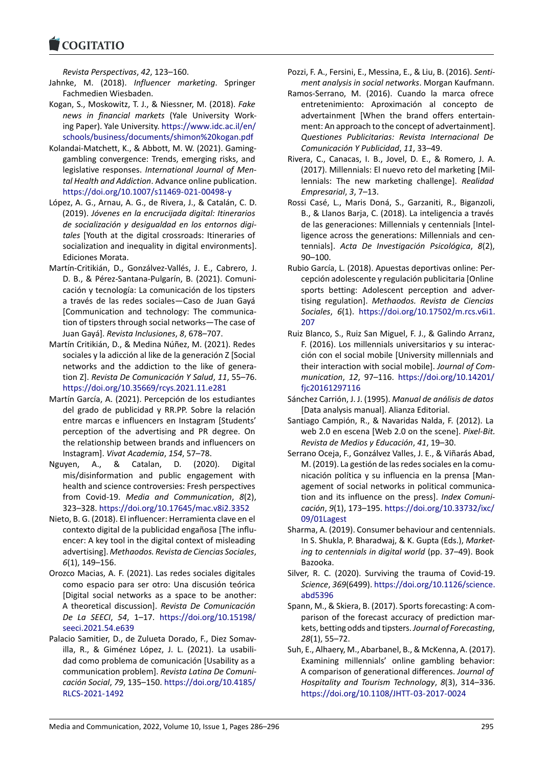*Revista Perspectivas*, *42*, 123–160.

- Jahnke, M. (2018). *Influencer marketing*. Springer Fachmedien Wiesbaden.
- Kogan, S., Moskowitz, T. J., & Niessner, M. (2018). *Fake news in financial markets* (Yale University Work‐ ing Paper). Yale University. [https://www.idc.ac.il/en/](https://www.idc.ac.il/en/schools/business/documents/shimon%20kogan.pdf) [schools/business/documents/shimon%20kogan.pdf](https://www.idc.ac.il/en/schools/business/documents/shimon%20kogan.pdf)
- Kolandai‐Matchett, K., & Abbott, M. W. (2021). Gaming‐ gambling convergence: Trends, emerging risks, and legislative responses. *International Journal of Men‐ tal Health and Addiction*. Advance online publication. [https://doi.org/10.1007/s11469‐021‐00498‐y](https://doi.org/10.1007/s11469-021-00498-y)
- López, A. G., Arnau, A. G., de Rivera, J., & Catalán, C. D. (2019). *Jóvenes en la encrucijada digital: Itinerarios de socialización y desigualdad en los entornos digi‐ tales* [Youth at the digital crossroads: Itineraries of socialization and inequality in digital environments]. Ediciones Morata.
- Martín‐Critikián, D., Gonzálvez‐Vallés, J. E., Cabrero, J. D. B., & Pérez‐Santana‐Pulgarín, B. (2021). Comuni‐ cación y tecnología: La comunicación de los tipsters a través de las redes sociales—Caso de Juan Gayá [Communication and technology: The communica‐ tion of tipsters through social networks—The case of Juan Gayá]. *Revista Inclusiones*, *8*, 678–707.
- Martín Critikián, D., & Medina Núñez, M. (2021). Redes sociales y la adicción al like de la generación Z [Social networks and the addiction to the like of genera‐ tion Z]. *Revista De Comunicación Y Salud*, *11*, 55–76. <https://doi.org/10.35669/rcys.2021.11.e281>
- Martín García, A. (2021). Percepción de los estudiantes del grado de publicidad y RR.PP. Sobre la relación entre marcas e influencers en Instagram [Students' perception of the advertising and PR degree. On the relationship between brands and influencers on Instagram]. *Vivat Academia*, *154*, 57–78.
- Nguyen, A., & Catalan, D. (2020). Digital mis/disinformation and public engagement with health and science controversies: Fresh perspectives from Covid‐19. *Media and Communication*, *8*(2), 323–328. <https://doi.org/10.17645/mac.v8i2.3352>
- Nieto, B. G. (2018). El influencer: Herramienta clave en el contexto digital de la publicidad engañosa [The influ‐ encer: A key tool in the digital context of misleading advertising]. *Methaodos. Revista de Ciencias Sociales*, *6*(1), 149–156.
- Orozco Macias, A. F. (2021). Las redes sociales digitales como espacio para ser otro: Una discusión teórica [Digital social networks as a space to be another: A theoretical discussion]. *Revista De Comunicación De La SEECI*, *54*, 1–17. [https://doi.org/10.15198/](https://doi.org/10.15198/seeci.2021.54.e639) [seeci.2021.54.e639](https://doi.org/10.15198/seeci.2021.54.e639)
- Palacio Samitier, D., de Zulueta Dorado, F., Diez Somav‐ illa, R., & Giménez López, J. L. (2021). La usabili‐ dad como problema de comunicación [Usability as a communication problem]. *Revista Latina De Comuni‐ cación Social*, *79*, 135–150. [https://doi.org/10.4185/](https://doi.org/10.4185/RLCS-2021-1492) [RLCS‐2021‐1492](https://doi.org/10.4185/RLCS-2021-1492)
- Pozzi, F. A., Fersini, E., Messina, E., & Liu, B. (2016). *Senti‐ ment analysis in social networks*. Morgan Kaufmann.
- Ramos‐Serrano, M. (2016). Cuando la marca ofrece entretenimiento: Aproximación al concepto de advertainment [When the brand offers entertain‐ ment: An approach to the concept of advertainment]. *Questiones Publicitarias: Revista Internacional De Comunicación Y Publicidad*, *11*, 33–49.
- Rivera, C., Canacas, I. B., Jovel, D. E., & Romero, J. A. (2017). Millennials: El nuevo reto del marketing [Mil‐ lennials: The new marketing challenge]. *Realidad Empresarial*, *3*, 7–13.
- Rossi Casé, L., Maris Doná, S., Garzaniti, R., Biganzoli, B., & Llanos Barja, C. (2018). La inteligencia a través de las generaciones: Millennials y centennials [Intel‐ ligence across the generations: Millennials and cen‐ tennials]. *Acta De Investigación Psicológica*, *8*(2), 90–100.
- Rubio García, L. (2018). Apuestas deportivas online: Per‐ cepción adolescente y regulación publicitaria [Online sports betting: Adolescent perception and adver‐ tising regulation]. *Methaodos. Revista de Ciencias Sociales*, *6*(1). [https://doi.org/10.17502/m.rcs.v6i1.](https://doi.org/10.17502/m.rcs.v6i1.207) [207](https://doi.org/10.17502/m.rcs.v6i1.207)
- Ruiz Blanco, S., Ruiz San Miguel, F. J., & Galindo Arranz, F. (2016). Los millennials universitarios y su interac‐ ción con el social mobile [University millennials and their interaction with social mobile]. *Journal of Com‐ munication*, *12*, 97–116. [https://doi.org/10.14201/](https://doi.org/10.14201/fjc20161297116) [fjc20161297116](https://doi.org/10.14201/fjc20161297116)
- Sánchez Carrión, J. J. (1995). *Manual de análisis de datos* [Data analysis manual]. Alianza Editorial.
- Santiago Campión, R., & Navaridas Nalda, F. (2012). La web 2.0 en escena [Web 2.0 on the scene]. *Pixel‐Bit. Revista de Medios y Educación*, *41*, 19–30.
- Serrano Oceja, F., Gonzálvez Valles, J. E., & Viñarás Abad, M. (2019). La gestión de las redes sociales en la comu‐ nicación política y su influencia en la prensa [Man‐ agement of social networks in political communication and its influence on the press]. *Index Comuni‐ cación*, *9*(1), 173–195. [https://doi.org/10.33732/ixc/](https://doi.org/10.33732/ixc/09/01Lagest) [09/01Lagest](https://doi.org/10.33732/ixc/09/01Lagest)
- Sharma, A. (2019). Consumer behaviour and centennials. In S. Shukla, P. Bharadwaj, & K. Gupta (Eds.), *Market‐ ing to centennials in digital world* (pp. 37–49). Book Bazooka.
- Silver, R. C. (2020). Surviving the trauma of Covid‐19. *Science*, *369*(6499). [https://doi.org/10.1126/science.](https://doi.org/10.1126/science.abd5396) [abd5396](https://doi.org/10.1126/science.abd5396)
- Spann, M., & Skiera, B. (2017). Sports forecasting: A com‐ parison of the forecast accuracy of prediction mar‐ kets, betting odds and tipsters.*Journal of Forecasting*, *28*(1), 55–72.
- Suh, E., Alhaery, M., Abarbanel, B., & McKenna, A. (2017). Examining millennials' online gambling behavior: A comparison of generational differences. *Journal of Hospitality and Tourism Technology*, *8*(3), 314–336. [https://doi.org/10.1108/JHTT‐03‐2017‐0024](https://doi.org/10.1108/JHTT-03-2017-0024)